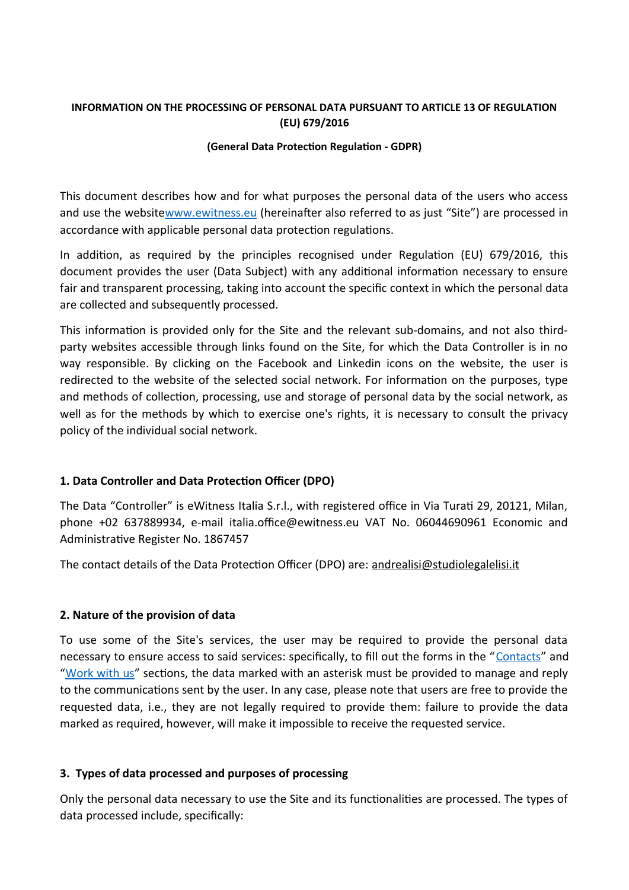# **INFORMATION ON THE PROCESSING OF PERSONAL DATA PURSUANT TO ARTICLE 13 OF REGULATION (EU) 679/2016**

### **(General Data Protection Regulation - GDPR)**

This document describes how and for what purposes the personal data of the users who access and use the websit[ewww.ewitness.eu](http://www.ewitness.eu/) (hereinafter also referred to as just "Site") are processed in accordance with applicable personal data protection regulations.

In addition, as required by the principles recognised under Regulation (EU) 679/2016, this document provides the user (Data Subject) with any additional information necessary to ensure fair and transparent processing, taking into account the specific context in which the personal data are collected and subsequently processed.

This information is provided only for the Site and the relevant sub-domains, and not also thirdparty websites accessible through links found on the Site, for which the Data Controller is in no way responsible. By clicking on the Facebook and Linkedin icons on the website, the user is redirected to the website of the selected social network. For information on the purposes, type and methods of collection, processing, use and storage of personal data by the social network, as well as for the methods by which to exercise one's rights, it is necessary to consult the privacy policy of the individual social network.

# **1. Data Controller and Data Protection Officer (DPO)**

The Data "Controller" is eWitness Italia S.r.l., with registered office in Via Turati 29, 20121, Milan, phone +02 637889934, e-mail italia.office@ewitness.eu VAT No. 06044690961 Economic and Administrative Register No. 1867457

The contact details of the Data Protection Officer (DPO) are: [andrealisi@studiolegalelisi.it](mailto:andrealisi@studiolegalelisi.it)

# **2. Nature of the provision of data**

To use some of the Site's services, the user may be required to provide the personal data necessary to ensure access to said services: specifically, to fill out the forms in the "[Contacts](https://www.ewitness.eu/en/contatti/)" and "[Work with us](https://www.ewitness.eu/en/lavora-con-noi/)" sections, the data marked with an asterisk must be provided to manage and reply to the communications sent by the user. In any case, please note that users are free to provide the requested data, i.e., they are not legally required to provide them: failure to provide the data marked as required, however, will make it impossible to receive the requested service.

# **3. Types of data processed and purposes of processing**

Only the personal data necessary to use the Site and its functionalities are processed. The types of data processed include, specifically: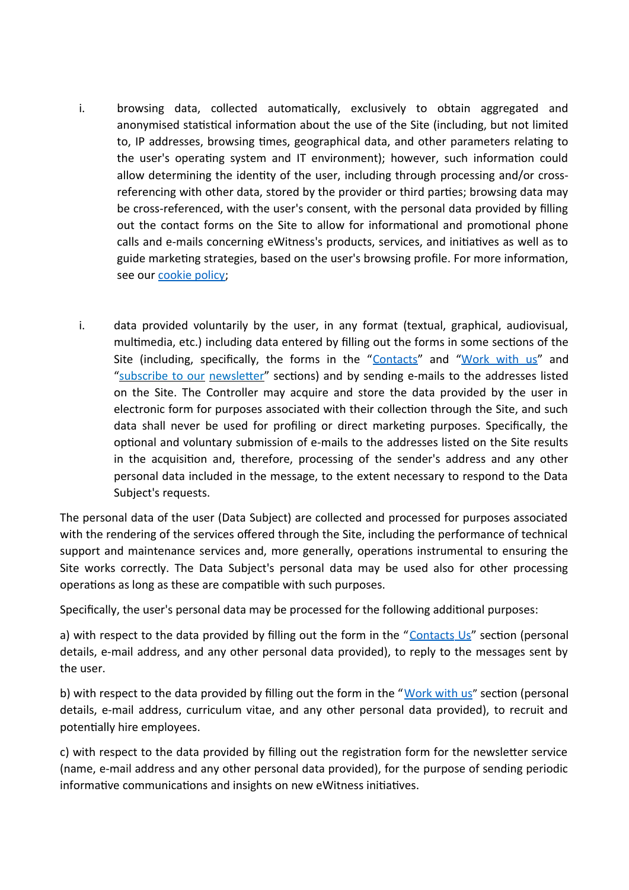- i. browsing data, collected automatically, exclusively to obtain aggregated and anonymised statistical information about the use of the Site (including, but not limited to, IP addresses, browsing times, geographical data, and other parameters relating to the user's operating system and IT environment); however, such information could allow determining the identity of the user, including through processing and/or crossreferencing with other data, stored by the provider or third parties; browsing data may be cross-referenced, with the user's consent, with the personal data provided by filling out the contact forms on the Site to allow for informational and promotional phone calls and e-mails concerning eWitness's products, services, and initiatives as well as to guide marketing strategies, based on the user's browsing profile. For more information, see our cookie policy;
- i. data provided voluntarily by the user, in any format (textual, graphical, audiovisual, multimedia, etc.) including data entered by filling out the forms in some sections of the Site (including, specifically, the forms in the "[Contacts](https://www.ewitness.eu/en/contatti/)" and "[Work with us"](https://www.ewitness.eu/en/lavora-con-noi/) and "subscribe to our newsletter" sections) and by sending e-mails to the addresses listed on the Site. The Controller may acquire and store the data provided by the user in electronic form for purposes associated with their collection through the Site, and such data shall never be used for profiling or direct marketing purposes. Specifically, the optional and voluntary submission of e-mails to the addresses listed on the Site results in the acquisition and, therefore, processing of the sender's address and any other personal data included in the message, to the extent necessary to respond to the Data Subject's requests.

The personal data of the user (Data Subject) are collected and processed for purposes associated with the rendering of the services offered through the Site, including the performance of technical support and maintenance services and, more generally, operations instrumental to ensuring the Site works correctly. The Data Subject's personal data may be used also for other processing operations as long as these are compatible with such purposes.

Specifically, the user's personal data may be processed for the following additional purposes:

a) with respect to the data provided by filling out the form in the "Contacts Us" section (personal details, e-mail address, and any other personal data provided), to reply to the messages sent by the user.

b) with respect to the data provided by filling out the form in the "[Work with us](https://www.ewitness.eu/en/lavora-con-noi/)" section (personal details, e-mail address, curriculum vitae, and any other personal data provided), to recruit and potentially hire employees.

c) with respect to the data provided by filling out the registration form for the newsletter service (name, e-mail address and any other personal data provided), for the purpose of sending periodic informative communications and insights on new eWitness initiatives.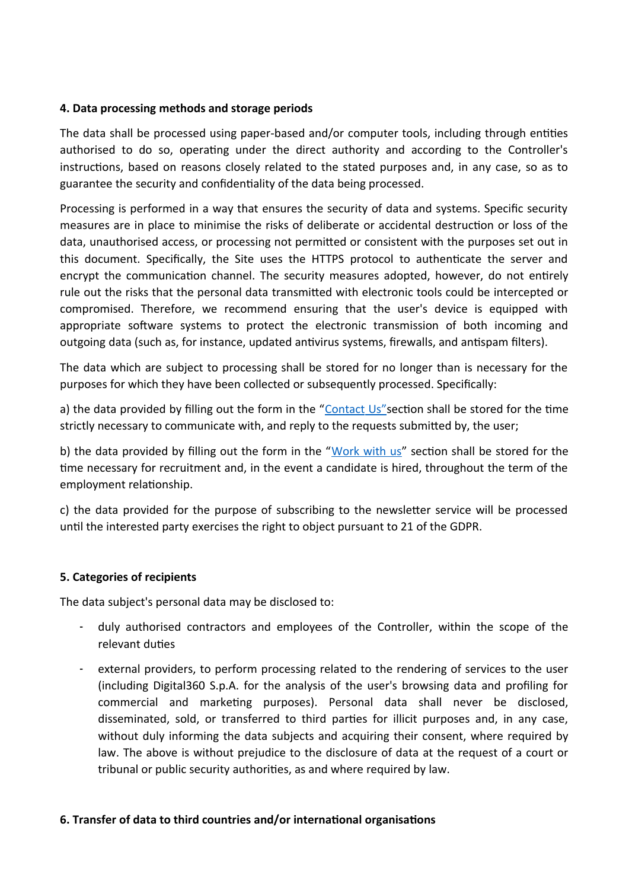### **4. Data processing methods and storage periods**

The data shall be processed using paper-based and/or computer tools, including through entities authorised to do so, operating under the direct authority and according to the Controller's instructions, based on reasons closely related to the stated purposes and, in any case, so as to guarantee the security and confidentiality of the data being processed.

Processing is performed in a way that ensures the security of data and systems. Specific security measures are in place to minimise the risks of deliberate or accidental destruction or loss of the data, unauthorised access, or processing not permitted or consistent with the purposes set out in this document. Specifically, the Site uses the HTTPS protocol to authenticate the server and encrypt the communication channel. The security measures adopted, however, do not entirely rule out the risks that the personal data transmitted with electronic tools could be intercepted or compromised. Therefore, we recommend ensuring that the user's device is equipped with appropriate software systems to protect the electronic transmission of both incoming and outgoing data (such as, for instance, updated antivirus systems, firewalls, and antispam filters).

The data which are subject to processing shall be stored for no longer than is necessary for the purposes for which they have been collected or subsequently processed. Specifically:

a) the data provided by filling out the form in the "Contact Us" section shall be stored for the time strictly necessary to communicate with, and reply to the requests submitted by, the user;

b) the data provided by filling out the form in the "[Work with us](https://www.ewitness.eu/en/lavora-con-noi/)" section shall be stored for the time necessary for recruitment and, in the event a candidate is hired, throughout the term of the employment relationship.

c) the data provided for the purpose of subscribing to the newsletter service will be processed until the interested party exercises the right to object pursuant to 21 of the GDPR.

### **5. Categories of recipients**

The data subject's personal data may be disclosed to:

- duly authorised contractors and employees of the Controller, within the scope of the relevant duties
- external providers, to perform processing related to the rendering of services to the user (including Digital360 S.p.A. for the analysis of the user's browsing data and profiling for commercial and marketing purposes). Personal data shall never be disclosed, disseminated, sold, or transferred to third parties for illicit purposes and, in any case, without duly informing the data subjects and acquiring their consent, where required by law. The above is without prejudice to the disclosure of data at the request of a court or tribunal or public security authorities, as and where required by law.

### **6. Transfer of data to third countries and/or international organisations**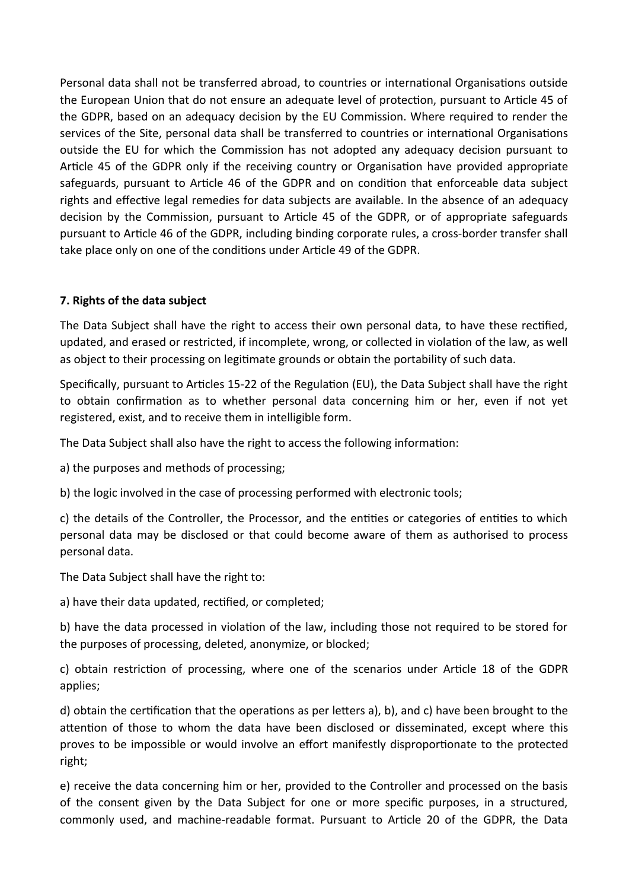Personal data shall not be transferred abroad, to countries or international Organisations outside the European Union that do not ensure an adequate level of protection, pursuant to Article 45 of the GDPR, based on an adequacy decision by the EU Commission. Where required to render the services of the Site, personal data shall be transferred to countries or international Organisations outside the EU for which the Commission has not adopted any adequacy decision pursuant to Article 45 of the GDPR only if the receiving country or Organisation have provided appropriate safeguards, pursuant to Article 46 of the GDPR and on condition that enforceable data subject rights and effective legal remedies for data subjects are available. In the absence of an adequacy decision by the Commission, pursuant to Article 45 of the GDPR, or of appropriate safeguards pursuant to Article 46 of the GDPR, including binding corporate rules, a cross-border transfer shall take place only on one of the conditions under Article 49 of the GDPR.

# **7. Rights of the data subject**

The Data Subject shall have the right to access their own personal data, to have these rectified, updated, and erased or restricted, if incomplete, wrong, or collected in violation of the law, as well as object to their processing on legitimate grounds or obtain the portability of such data.

Specifically, pursuant to Articles 15-22 of the Regulation (EU), the Data Subject shall have the right to obtain confirmation as to whether personal data concerning him or her, even if not yet registered, exist, and to receive them in intelligible form.

The Data Subject shall also have the right to access the following information:

a) the purposes and methods of processing;

b) the logic involved in the case of processing performed with electronic tools;

c) the details of the Controller, the Processor, and the entities or categories of entities to which personal data may be disclosed or that could become aware of them as authorised to process personal data.

The Data Subject shall have the right to:

a) have their data updated, rectified, or completed;

b) have the data processed in violation of the law, including those not required to be stored for the purposes of processing, deleted, anonymize, or blocked;

c) obtain restriction of processing, where one of the scenarios under Article 18 of the GDPR applies;

d) obtain the certification that the operations as per letters a), b), and c) have been brought to the attention of those to whom the data have been disclosed or disseminated, except where this proves to be impossible or would involve an effort manifestly disproportionate to the protected right;

e) receive the data concerning him or her, provided to the Controller and processed on the basis of the consent given by the Data Subject for one or more specific purposes, in a structured, commonly used, and machine-readable format. Pursuant to Article 20 of the GDPR, the Data